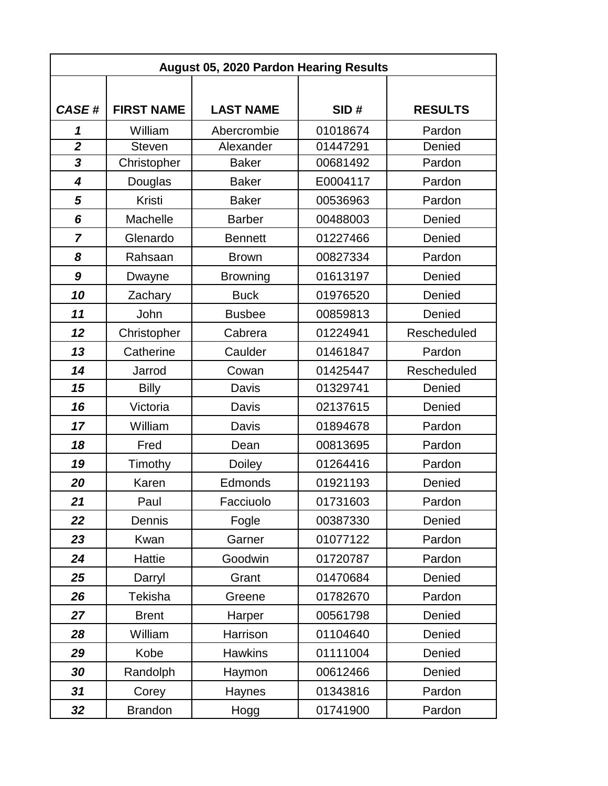| <b>August 05, 2020 Pardon Hearing Results</b> |                   |                  |          |                |  |  |
|-----------------------------------------------|-------------------|------------------|----------|----------------|--|--|
|                                               |                   |                  |          |                |  |  |
| <b>CASE#</b>                                  | <b>FIRST NAME</b> | <b>LAST NAME</b> | SID#     | <b>RESULTS</b> |  |  |
| 1                                             | William           | Abercrombie      | 01018674 | Pardon         |  |  |
| $\overline{2}$                                | <b>Steven</b>     | Alexander        | 01447291 | Denied         |  |  |
| 3                                             | Christopher       | <b>Baker</b>     | 00681492 | Pardon         |  |  |
| $\overline{\mathbf{4}}$                       | Douglas           | <b>Baker</b>     | E0004117 | Pardon         |  |  |
| 5                                             | Kristi            | <b>Baker</b>     | 00536963 | Pardon         |  |  |
| 6                                             | Machelle          | <b>Barber</b>    | 00488003 | Denied         |  |  |
| $\overline{7}$                                | Glenardo          | <b>Bennett</b>   | 01227466 | Denied         |  |  |
| 8                                             | Rahsaan           | <b>Brown</b>     | 00827334 | Pardon         |  |  |
| 9                                             | Dwayne            | <b>Browning</b>  | 01613197 | Denied         |  |  |
| 10                                            | Zachary           | <b>Buck</b>      | 01976520 | Denied         |  |  |
| 11                                            | John              | <b>Busbee</b>    | 00859813 | Denied         |  |  |
| 12                                            | Christopher       | Cabrera          | 01224941 | Rescheduled    |  |  |
| 13                                            | Catherine         | Caulder          | 01461847 | Pardon         |  |  |
| 14                                            | Jarrod            | Cowan            | 01425447 | Rescheduled    |  |  |
| 15                                            | <b>Billy</b>      | Davis            | 01329741 | Denied         |  |  |
| 16                                            | Victoria          | Davis            | 02137615 | Denied         |  |  |
| 17                                            | William           | Davis            | 01894678 | Pardon         |  |  |
| 18                                            | Fred              | Dean             | 00813695 | Pardon         |  |  |
| 19                                            | Timothy           | Doiley           | 01264416 | Pardon         |  |  |
| 20                                            | Karen             | Edmonds          | 01921193 | Denied         |  |  |
| 21                                            | Paul              | Facciuolo        | 01731603 | Pardon         |  |  |
| 22                                            | Dennis            | Fogle            | 00387330 | Denied         |  |  |
| 23                                            | Kwan              | Garner           | 01077122 | Pardon         |  |  |
| 24                                            | Hattie            | Goodwin          | 01720787 | Pardon         |  |  |
| 25                                            | Darryl            | Grant            | 01470684 | Denied         |  |  |
| 26                                            | Tekisha           | Greene           | 01782670 | Pardon         |  |  |
| 27                                            | <b>Brent</b>      | Harper           | 00561798 | Denied         |  |  |
| 28                                            | William           | Harrison         | 01104640 | Denied         |  |  |
| 29                                            | Kobe              | <b>Hawkins</b>   | 01111004 | Denied         |  |  |
| 30                                            | Randolph          | Haymon           | 00612466 | Denied         |  |  |
| 31                                            | Corey             | Haynes           | 01343816 | Pardon         |  |  |
| 32                                            | <b>Brandon</b>    | Hogg             | 01741900 | Pardon         |  |  |